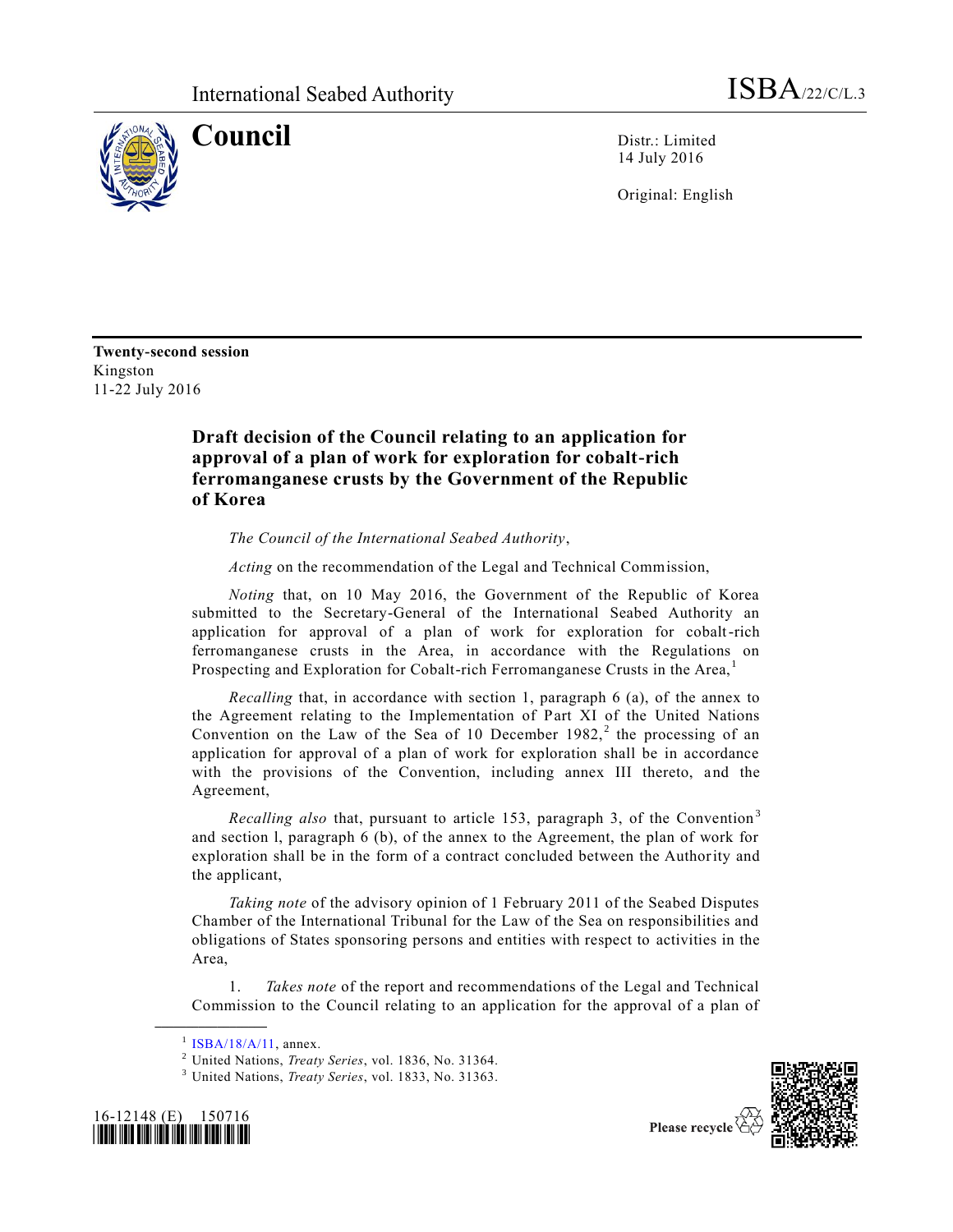

**Council** Distr.: Limited 14 July 2016

Original: English

**Twenty-second session** Kingston 11-22 July 2016

## **Draft decision of the Council relating to an application for approval of a plan of work for exploration for cobalt-rich ferromanganese crusts by the Government of the Republic of Korea**

*The Council of the International Seabed Authority*,

*Acting* on the recommendation of the Legal and Technical Commission,

*Noting* that, on 10 May 2016, the Government of the Republic of Korea submitted to the Secretary-General of the International Seabed Authority an application for approval of a plan of work for exploration for cobalt-rich ferromanganese crusts in the Area, in accordance with the Regulations on Prospecting and Exploration for Cobalt-rich Ferromanganese Crusts in the Area,<sup>1</sup>

*Recalling* that, in accordance with section 1, paragraph 6 (a), of the annex to the Agreement relating to the Implementation of Part XI of the United Nations Convention on the Law of the Sea of 10 December  $1982$ ,<sup>2</sup> the processing of an application for approval of a plan of work for exploration shall be in accordance with the provisions of the Convention, including annex III thereto, and the Agreement,

*Recalling also* that, pursuant to article 153, paragraph 3, of the Convention<sup>3</sup> and section l, paragraph 6 (b), of the annex to the Agreement, the plan of work for exploration shall be in the form of a contract concluded between the Authority and the applicant,

*Taking note* of the advisory opinion of 1 February 2011 of the Seabed Disputes Chamber of the International Tribunal for the Law of the Sea on responsibilities and obligations of States sponsoring persons and entities with respect to activities in the Area,

1. *Takes note* of the report and recommendations of the Legal and Technical Commission to the Council relating to an application for the approval of a plan of

**\_\_\_\_\_\_\_\_\_\_\_\_\_\_\_\_\_\_**

<sup>3</sup> United Nations, *Treaty Series*, vol. 1833, No. 31363.





Please recycle

 $1$  [ISBA/18/A/11,](http://undocs.org/ISBA/18/A/11) annex.

<sup>2</sup> United Nations, *Treaty Series*, vol. 1836, No. 31364.